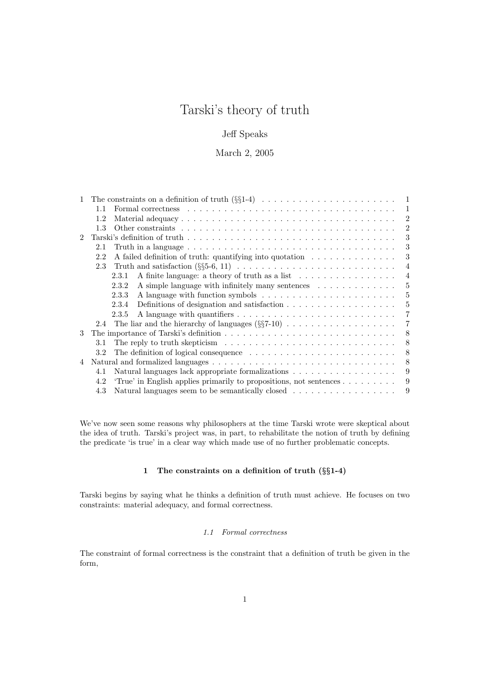# Tarski's theory of truth

# Jeff Speaks

# March 2, 2005

| $\mathbf{1}$ |     |                                                                                                       | -1             |
|--------------|-----|-------------------------------------------------------------------------------------------------------|----------------|
|              | 1.1 |                                                                                                       | $\mathbf{1}$   |
|              | 1.2 |                                                                                                       | 2              |
|              | 1.3 |                                                                                                       | $\overline{2}$ |
|              |     |                                                                                                       | 3              |
|              | 2.1 | Truth in a language $\dots \dots \dots \dots \dots \dots \dots \dots \dots \dots \dots \dots \dots$   | 3              |
|              | 2.2 | A failed definition of truth: quantifying into quotation $\dots \dots \dots \dots$                    | 3              |
|              | 2.3 |                                                                                                       | $\overline{4}$ |
|              |     | A finite language: a theory of truth as a list<br>2.3.1                                               | $\overline{4}$ |
|              |     | A simple language with infinitely many sentences $\dots \dots \dots \dots$<br>2.3.2                   | 5              |
|              |     | 2.3.3                                                                                                 | $\overline{5}$ |
|              |     | 2.3.4                                                                                                 | 5              |
|              |     | 2.3.5                                                                                                 | 7              |
|              | 2.4 | The liar and the hierarchy of languages $(\S$ 57-10)                                                  | 7              |
| 3            |     |                                                                                                       | 8              |
|              | 3.1 | The reply to truth skepticism $\ldots \ldots \ldots \ldots \ldots \ldots \ldots \ldots \ldots \ldots$ | 8              |
|              | 3.2 |                                                                                                       | 8              |
| 4            |     |                                                                                                       | 8              |
|              | 4.1 |                                                                                                       | 9              |
|              | 4.2 | 'True' in English applies primarily to propositions, not sentences                                    | 9              |
|              | 4.3 | Natural languages seem to be semantically closed                                                      | 9              |
|              |     |                                                                                                       |                |

We've now seen some reasons why philosophers at the time Tarski wrote were skeptical about the idea of truth. Tarski's project was, in part, to rehabilitate the notion of truth by defining the predicate 'is true' in a clear way which made use of no further problematic concepts.

## 1 The constraints on a definition of truth (§§1-4)

Tarski begins by saying what he thinks a definition of truth must achieve. He focuses on two constraints: material adequacy, and formal correctness.

## 1.1 Formal correctness

The constraint of formal correctness is the constraint that a definition of truth be given in the form,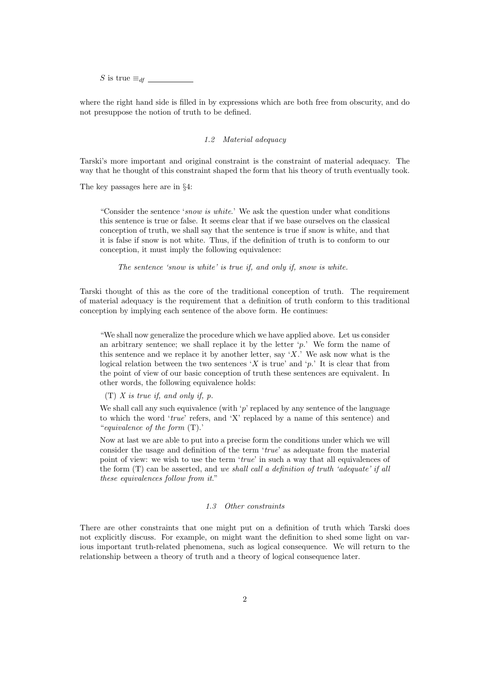S is true  $\equiv_{df} \_$ 

where the right hand side is filled in by expressions which are both free from obscurity, and do not presuppose the notion of truth to be defined.

## 1.2 Material adequacy

Tarski's more important and original constraint is the constraint of material adequacy. The way that he thought of this constraint shaped the form that his theory of truth eventually took.

The key passages here are in §4:

"Consider the sentence 'snow is white.' We ask the question under what conditions this sentence is true or false. It seems clear that if we base ourselves on the classical conception of truth, we shall say that the sentence is true if snow is white, and that it is false if snow is not white. Thus, if the definition of truth is to conform to our conception, it must imply the following equivalence:

The sentence 'snow is white' is true if, and only if, snow is white.

Tarski thought of this as the core of the traditional conception of truth. The requirement of material adequacy is the requirement that a definition of truth conform to this traditional conception by implying each sentence of the above form. He continues:

"We shall now generalize the procedure which we have applied above. Let us consider an arbitrary sentence; we shall replace it by the letter  $\varphi$ .' We form the name of this sentence and we replace it by another letter, say 'X.' We ask now what is the logical relation between the two sentences 'X is true' and 'p.' It is clear that from the point of view of our basic conception of truth these sentences are equivalent. In other words, the following equivalence holds:

 $(T)$  X is true if, and only if, p.

We shall call any such equivalence (with  $\gamma$  replaced by any sentence of the language to which the word 'true' refers, and 'X' replaced by a name of this sentence) and "equivalence of the form (T).'

Now at last we are able to put into a precise form the conditions under which we will consider the usage and definition of the term 'true' as adequate from the material point of view: we wish to use the term 'true' in such a way that all equivalences of the form  $(T)$  can be asserted, and we shall call a definition of truth 'adequate' if all these equivalences follow from it."

## 1.3 Other constraints

There are other constraints that one might put on a definition of truth which Tarski does not explicitly discuss. For example, on might want the definition to shed some light on various important truth-related phenomena, such as logical consequence. We will return to the relationship between a theory of truth and a theory of logical consequence later.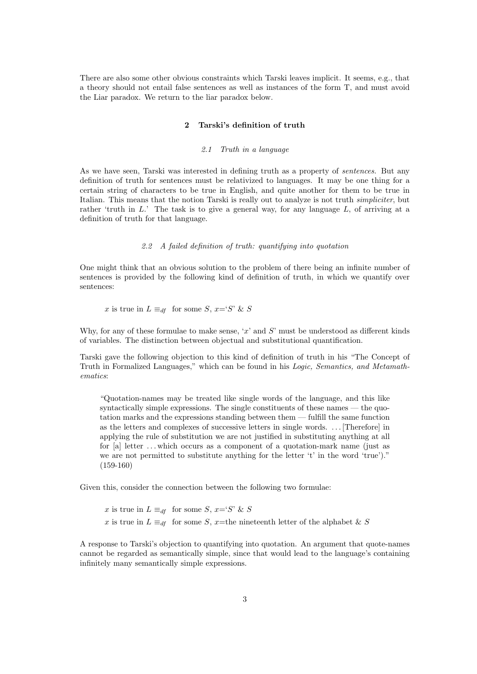There are also some other obvious constraints which Tarski leaves implicit. It seems, e.g., that a theory should not entail false sentences as well as instances of the form T, and must avoid the Liar paradox. We return to the liar paradox below.

## 2 Tarski's definition of truth

## 2.1 Truth in a language

As we have seen, Tarski was interested in defining truth as a property of sentences. But any definition of truth for sentences must be relativized to languages. It may be one thing for a certain string of characters to be true in English, and quite another for them to be true in Italian. This means that the notion Tarski is really out to analyze is not truth simpliciter, but rather 'truth in  $L$ .' The task is to give a general way, for any language  $L$ , of arriving at a definition of truth for that language.

## 2.2 A failed definition of truth: quantifying into quotation

One might think that an obvious solution to the problem of there being an infinite number of sentences is provided by the following kind of definition of truth, in which we quantify over sentences:

x is true in  $L \equiv_{df}$  for some S,  $x = S' \& S$ 

Why, for any of these formulae to make sense,  $x'$  and  $S'$  must be understood as different kinds of variables. The distinction between objectual and substitutional quantification.

Tarski gave the following objection to this kind of definition of truth in his "The Concept of Truth in Formalized Languages," which can be found in his Logic, Semantics, and Metamathematics:

"Quotation-names may be treated like single words of the language, and this like syntactically simple expressions. The single constituents of these names — the quotation marks and the expressions standing between them — fulfill the same function as the letters and complexes of successive letters in single words. . . . [Therefore] in applying the rule of substitution we are not justified in substituting anything at all for [a] letter . . . which occurs as a component of a quotation-mark name (just as we are not permitted to substitute anything for the letter 't' in the word 'true')." (159-160)

Given this, consider the connection between the following two formulae:

x is true in  $L \equiv_{df}$  for some S,  $x = S' \& S$ x is true in  $L \equiv_{df}$  for some S, x=the nineteenth letter of the alphabet & S

A response to Tarski's objection to quantifying into quotation. An argument that quote-names cannot be regarded as semantically simple, since that would lead to the language's containing infinitely many semantically simple expressions.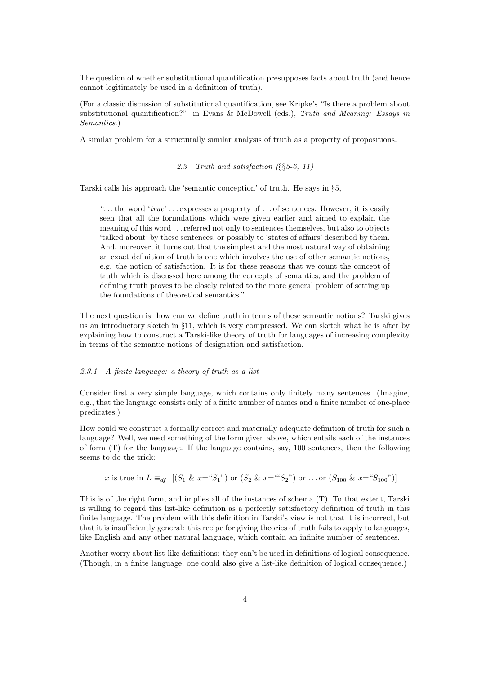The question of whether substitutional quantification presupposes facts about truth (and hence cannot legitimately be used in a definition of truth).

(For a classic discussion of substitutional quantification, see Kripke's "Is there a problem about substitutional quantification?" in Evans & McDowell (eds.), Truth and Meaning: Essays in Semantics.)

A similar problem for a structurally similar analysis of truth as a property of propositions.

## 2.3 Truth and satisfaction (§§5-6, 11)

Tarski calls his approach the 'semantic conception' of truth. He says in §5,

"... the word 'true' ... expresses a property of ... of sentences. However, it is easily seen that all the formulations which were given earlier and aimed to explain the meaning of this word . . . referred not only to sentences themselves, but also to objects 'talked about' by these sentences, or possibly to 'states of affairs' described by them. And, moreover, it turns out that the simplest and the most natural way of obtaining an exact definition of truth is one which involves the use of other semantic notions, e.g. the notion of satisfaction. It is for these reasons that we count the concept of truth which is discussed here among the concepts of semantics, and the problem of defining truth proves to be closely related to the more general problem of setting up the foundations of theoretical semantics."

The next question is: how can we define truth in terms of these semantic notions? Tarski gives us an introductory sketch in  $\S11$ , which is very compressed. We can sketch what he is after by explaining how to construct a Tarski-like theory of truth for languages of increasing complexity in terms of the semantic notions of designation and satisfaction.

## 2.3.1 A finite language: a theory of truth as a list

Consider first a very simple language, which contains only finitely many sentences. (Imagine, e.g., that the language consists only of a finite number of names and a finite number of one-place predicates.)

How could we construct a formally correct and materially adequate definition of truth for such a language? Well, we need something of the form given above, which entails each of the instances of form (T) for the language. If the language contains, say, 100 sentences, then the following seems to do the trick:

x is true in 
$$
L \equiv_{df} [(S_1 \& x = "S_1")
$$
 or  $(S_2 \& x = "S_2")$  or ... or  $(S_{100} \& x = "S_{100})]$ 

This is of the right form, and implies all of the instances of schema (T). To that extent, Tarski is willing to regard this list-like definition as a perfectly satisfactory definition of truth in this finite language. The problem with this definition in Tarski's view is not that it is incorrect, but that it is insufficiently general: this recipe for giving theories of truth fails to apply to languages, like English and any other natural language, which contain an infinite number of sentences.

Another worry about list-like definitions: they can't be used in definitions of logical consequence. (Though, in a finite language, one could also give a list-like definition of logical consequence.)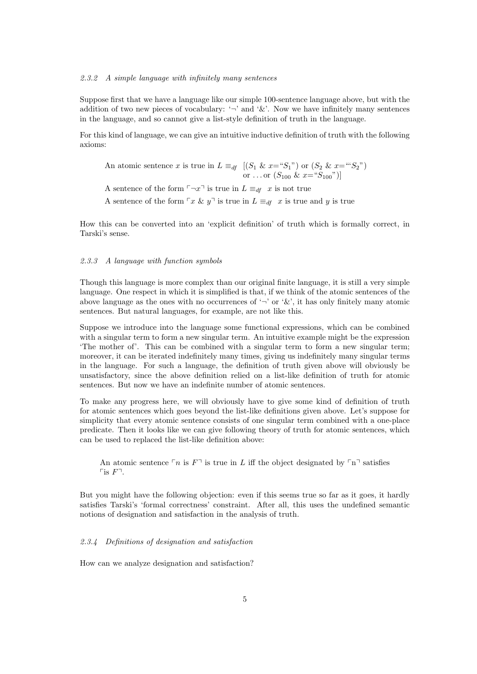#### 2.3.2 A simple language with infinitely many sentences

Suppose first that we have a language like our simple 100-sentence language above, but with the addition of two new pieces of vocabulary: ' $\neg$ ' and '&'. Now we have infinitely many sentences in the language, and so cannot give a list-style definition of truth in the language.

For this kind of language, we can give an intuitive inductive definition of truth with the following axioms:

An atomic sentence x is true in  $L \equiv_{df} [(S_1 \& x = "S_1")$  or  $(S_2 \& x = "S_2")$ or ... or  $(S_{100} \& x = "S_{100}"$ 

A sentence of the form  $\neg x \exists$  is true in  $L \equiv_{df} x$  is not true

A sentence of the form  $\ulcorner x \& y \urcorner$  is true in  $L \equiv_{df} x$  is true and y is true

How this can be converted into an 'explicit definition' of truth which is formally correct, in Tarski's sense.

## 2.3.3 A language with function symbols

Though this language is more complex than our original finite language, it is still a very simple language. One respect in which it is simplified is that, if we think of the atomic sentences of the above language as the ones with no occurrences of  $\eta$  or  $\mathscr{X}$ , it has only finitely many atomic sentences. But natural languages, for example, are not like this.

Suppose we introduce into the language some functional expressions, which can be combined with a singular term to form a new singular term. An intuitive example might be the expression 'The mother of'. This can be combined with a singular term to form a new singular term; moreover, it can be iterated indefinitely many times, giving us indefinitely many singular terms in the language. For such a language, the definition of truth given above will obviously be unsatisfactory, since the above definition relied on a list-like definition of truth for atomic sentences. But now we have an indefinite number of atomic sentences.

To make any progress here, we will obviously have to give some kind of definition of truth for atomic sentences which goes beyond the list-like definitions given above. Let's suppose for simplicity that every atomic sentence consists of one singular term combined with a one-place predicate. Then it looks like we can give following theory of truth for atomic sentences, which can be used to replaced the list-like definition above:

An atomic sentence  $\ulcorner n$  is  $F\urcorner$  is true in L iff the object designated by  $\ulcorner n\urcorner$  satisfies  $\sqcap$ is  $F^{\sqcap}$ .

But you might have the following objection: even if this seems true so far as it goes, it hardly satisfies Tarski's 'formal correctness' constraint. After all, this uses the undefined semantic notions of designation and satisfaction in the analysis of truth.

## 2.3.4 Definitions of designation and satisfaction

How can we analyze designation and satisfaction?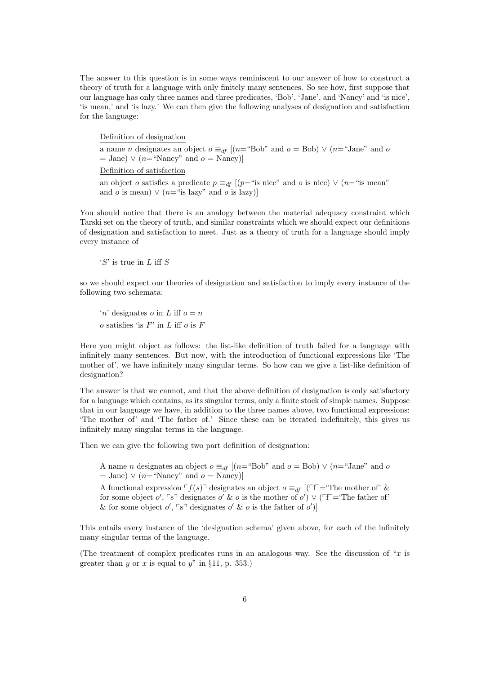The answer to this question is in some ways reminiscent to our answer of how to construct a theory of truth for a language with only finitely many sentences. So see how, first suppose that our language has only three names and three predicates, 'Bob', 'Jane', and 'Nancy' and 'is nice', 'is mean,' and 'is lazy.' We can then give the following analyses of designation and satisfaction for the language:

Definition of designation

a name *n* designates an object  $o \equiv_{df} [(n=``Bob"$  and  $o = Bob) \vee (n=``Jane"$  and o  $=$  Jane)  $\vee$  (n="Nancy" and  $o =$  Nancy)]

Definition of satisfaction

an object o satisfies a predicate  $p \equiv_{df} [(p=$ "is nice" and o is nice)  $\vee (n=$ "is mean" and o is mean)  $\vee$  (n="is lazy" and o is lazy)]

You should notice that there is an analogy between the material adequacy constraint which Tarski set on the theory of truth, and similar constraints which we should expect our definitions of designation and satisfaction to meet. Just as a theory of truth for a language should imply every instance of

'S' is true in L iff S

so we should expect our theories of designation and satisfaction to imply every instance of the following two schemata:

'n' designates o in L iff  $o = n$  $o$  satisfies 'is  $F$ ' in  $L$  iff  $o$  is  $F$ 

Here you might object as follows: the list-like definition of truth failed for a language with infinitely many sentences. But now, with the introduction of functional expressions like 'The mother of', we have infinitely many singular terms. So how can we give a list-like definition of designation?

The answer is that we cannot, and that the above definition of designation is only satisfactory for a language which contains, as its singular terms, only a finite stock of simple names. Suppose that in our language we have, in addition to the three names above, two functional expressions: 'The mother of' and 'The father of.' Since these can be iterated indefinitely, this gives us infinitely many singular terms in the language.

Then we can give the following two part definition of designation:

A name *n* designates an object  $o \equiv_{df} [(n="Bob" and o = Bob) \lor (n="Jane" and o$  $=$  Jane)  $\vee$  (n="Nancy" and  $o =$  Nancy)]

A functional expression  $\ulcorner f(s) \urcorner$  designates an object  $o \equiv_{df} [(\ulcorner f \urcorner = \urcorner \text{The mother of'} \&$ for some object o',  $\lceil s \rceil$  designates o' & o is the mother of o')  $\vee$  ( $\lceil f \rceil = \text{The father of'}$ & for some object  $o'$ ,  $\lceil s \rceil$  designates  $o'$  &  $o$  is the father of  $o'$ )

This entails every instance of the 'designation schema' given above, for each of the infinitely many singular terms of the language.

(The treatment of complex predicates runs in an analogous way. See the discussion of "x is greater than y or x is equal to y" in  $\S 11$ , p. 353.)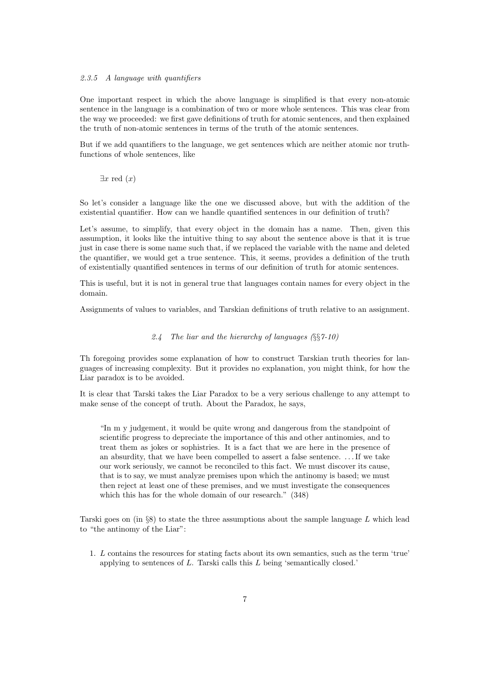## 2.3.5 A language with quantifiers

One important respect in which the above language is simplified is that every non-atomic sentence in the language is a combination of two or more whole sentences. This was clear from the way we proceeded: we first gave definitions of truth for atomic sentences, and then explained the truth of non-atomic sentences in terms of the truth of the atomic sentences.

But if we add quantifiers to the language, we get sentences which are neither atomic nor truthfunctions of whole sentences, like

 $\exists x \text{ red } (x)$ 

So let's consider a language like the one we discussed above, but with the addition of the existential quantifier. How can we handle quantified sentences in our definition of truth?

Let's assume, to simplify, that every object in the domain has a name. Then, given this assumption, it looks like the intuitive thing to say about the sentence above is that it is true just in case there is some name such that, if we replaced the variable with the name and deleted the quantifier, we would get a true sentence. This, it seems, provides a definition of the truth of existentially quantified sentences in terms of our definition of truth for atomic sentences.

This is useful, but it is not in general true that languages contain names for every object in the domain.

Assignments of values to variables, and Tarskian definitions of truth relative to an assignment.

## 2.4 The liar and the hierarchy of languages  $(\S_{\S}^67-10)$

Th foregoing provides some explanation of how to construct Tarskian truth theories for languages of increasing complexity. But it provides no explanation, you might think, for how the Liar paradox is to be avoided.

It is clear that Tarski takes the Liar Paradox to be a very serious challenge to any attempt to make sense of the concept of truth. About the Paradox, he says,

"In m y judgement, it would be quite wrong and dangerous from the standpoint of scientific progress to depreciate the importance of this and other antinomies, and to treat them as jokes or sophistries. It is a fact that we are here in the presence of an absurdity, that we have been compelled to assert a false sentence. . . . If we take our work seriously, we cannot be reconciled to this fact. We must discover its cause, that is to say, we must analyze premises upon which the antinomy is based; we must then reject at least one of these premises, and we must investigate the consequences which this has for the whole domain of our research." (348)

Tarski goes on (in  $\S 8$ ) to state the three assumptions about the sample language L which lead to "the antinomy of the Liar":

1. L contains the resources for stating facts about its own semantics, such as the term 'true' applying to sentences of L. Tarski calls this L being 'semantically closed.'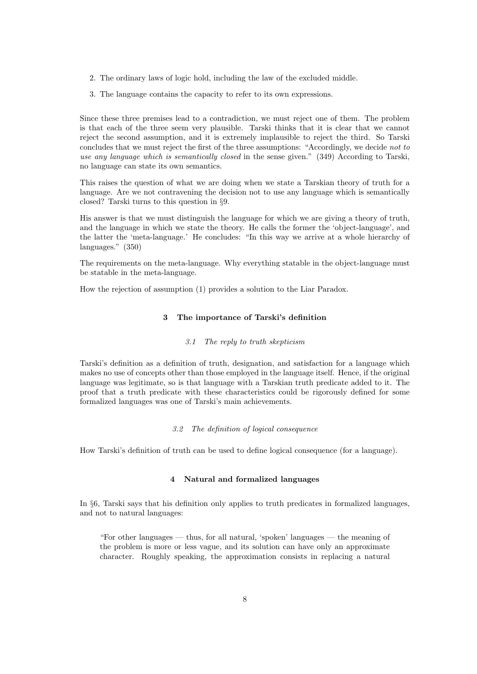- 2. The ordinary laws of logic hold, including the law of the excluded middle.
- 3. The language contains the capacity to refer to its own expressions.

Since these three premises lead to a contradiction, we must reject one of them. The problem is that each of the three seem very plausible. Tarski thinks that it is clear that we cannot reject the second assumption, and it is extremely implausible to reject the third. So Tarski concludes that we must reject the first of the three assumptions: "Accordingly, we decide not to use any language which is semantically closed in the sense given." (349) According to Tarski, no language can state its own semantics.

This raises the question of what we are doing when we state a Tarskian theory of truth for a language. Are we not contravening the decision not to use any language which is semantically closed? Tarski turns to this question in §9.

His answer is that we must distinguish the language for which we are giving a theory of truth, and the language in which we state the theory. He calls the former the 'object-language', and the latter the 'meta-language.' He concludes: "In this way we arrive at a whole hierarchy of languages." (350)

The requirements on the meta-language. Why everything statable in the object-language must be statable in the meta-language.

How the rejection of assumption (1) provides a solution to the Liar Paradox.

## 3 The importance of Tarski's definition

## 3.1 The reply to truth skepticism

Tarski's definition as a definition of truth, designation, and satisfaction for a language which makes no use of concepts other than those employed in the language itself. Hence, if the original language was legitimate, so is that language with a Tarskian truth predicate added to it. The proof that a truth predicate with these characteristics could be rigorously defined for some formalized languages was one of Tarski's main achievements.

## 3.2 The definition of logical consequence

How Tarski's definition of truth can be used to define logical consequence (for a language).

## 4 Natural and formalized languages

In §6, Tarski says that his definition only applies to truth predicates in formalized languages, and not to natural languages:

"For other languages — thus, for all natural, 'spoken' languages — the meaning of the problem is more or less vague, and its solution can have only an approximate character. Roughly speaking, the approximation consists in replacing a natural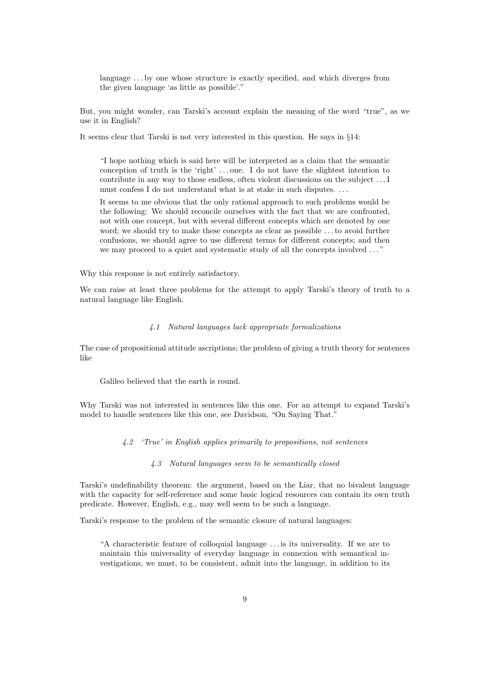language ...by one whose structure is exactly specified, and which diverges from the given language 'as little as possible'."

But, you might wonder, can Tarski's account explain the meaning of the word "true", as we use it in English?

It seems clear that Tarski is not very interested in this question. He says in §14:

"I hope nothing which is said here will be interpreted as a claim that the semantic conception of truth is the 'right' . . . one. I do not have the slightest intention to contribute in any way to those endless, often violent discussions on the subject . . . I must confess I do not understand what is at stake in such disputes. . . .

It seems to me obvious that the only rational approach to such problems would be the following: We should reconcile ourselves with the fact that we are confronted, not with one concept, but with several different concepts which are denoted by one word; we should try to make these concepts as clear as possible . . . to avoid further confusions, we should agree to use different terms for different concepts; and then we may proceed to a quiet and systematic study of all the concepts involved ..."

Why this response is not entirely satisfactory.

We can raise at least three problems for the attempt to apply Tarski's theory of truth to a natural language like English.

## 4.1 Natural languages lack appropriate formalizations

The case of propositional attitude ascriptions; the problem of giving a truth theory for sentences like

Galileo believed that the earth is round.

Why Tarski was not interested in sentences like this one. For an attempt to expand Tarski's model to handle sentences like this one, see Davidson, "On Saying That."

4.2 'True' in English applies primarily to propositions, not sentences

4.3 Natural languages seem to be semantically closed

Tarski's undefinability theorem: the argument, based on the Liar, that no bivalent language with the capacity for self-reference and some basic logical resources can contain its own truth predicate. However, English, e.g., may well seem to be such a language.

Tarski's response to the problem of the semantic closure of natural languages:

"A characteristic feature of colloquial language . . . is its universality. If we are to maintain this universality of everyday language in connexion with semantical investigations, we must, to be consistent, admit into the language, in addition to its